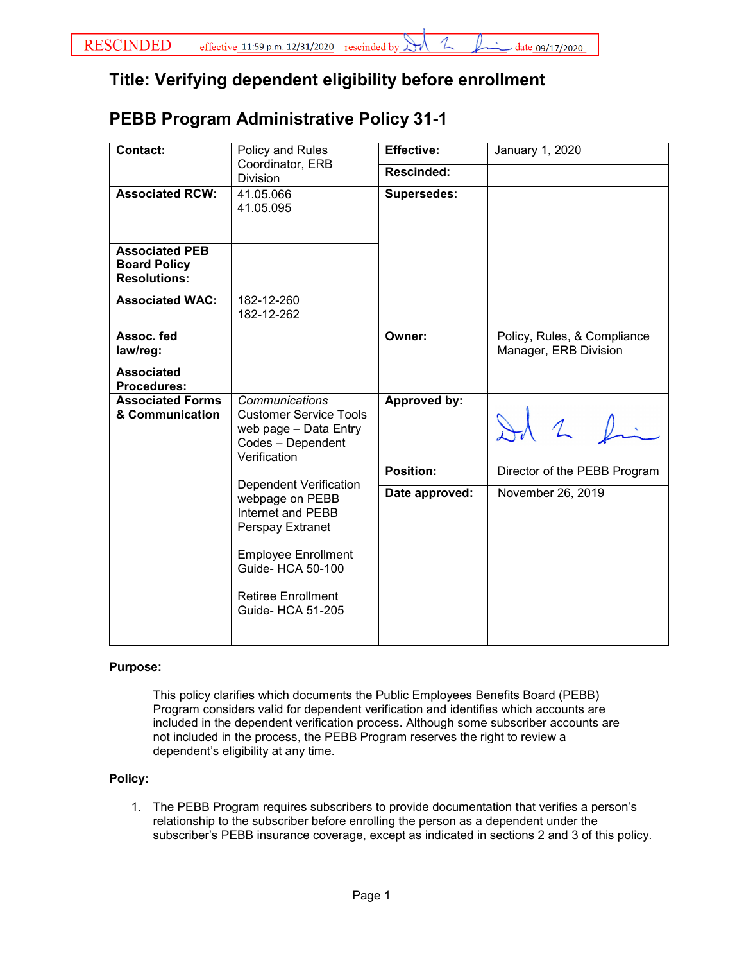## **Title: Verifying dependent eligibility before enrollment**

# **PEBB Program Administrative Policy 31-1**

| <b>Contact:</b><br>Policy and Rules<br>Coordinator, ERB<br>Division                                                                      | <b>Effective:</b>                                                       | January 1, 2020                                      |
|------------------------------------------------------------------------------------------------------------------------------------------|-------------------------------------------------------------------------|------------------------------------------------------|
|                                                                                                                                          | <b>Rescinded:</b>                                                       |                                                      |
| 41.05.066<br>41.05.095                                                                                                                   | <b>Supersedes:</b>                                                      |                                                      |
|                                                                                                                                          |                                                                         |                                                      |
| 182-12-262                                                                                                                               |                                                                         |                                                      |
|                                                                                                                                          | Owner:                                                                  | Policy, Rules, & Compliance<br>Manager, ERB Division |
|                                                                                                                                          |                                                                         |                                                      |
| Communications<br><b>Customer Service Tools</b><br>web page - Data Entry<br>Codes - Dependent<br>Verification                            | Approved by:                                                            | Id 2 fin                                             |
|                                                                                                                                          | Position:                                                               | Director of the PEBB Program                         |
| webpage on PEBB<br>Internet and PEBB<br>Perspay Extranet<br><b>Employee Enrollment</b><br>Guide- HCA 50-100<br><b>Retiree Enrollment</b> | Date approved:                                                          | November 26, 2019                                    |
|                                                                                                                                          | 182-12-260<br><b>Dependent Verification</b><br><b>Guide- HCA 51-205</b> |                                                      |

### **Purpose:**

This policy clarifies which documents the Public Employees Benefits Board (PEBB) Program considers valid for dependent verification and identifies which accounts are included in the dependent verification process. Although some subscriber accounts are not included in the process, the PEBB Program reserves the right to review a dependent's eligibility at any time.

### **Policy:**

1. The PEBB Program requires subscribers to provide documentation that verifies a person's relationship to the subscriber before enrolling the person as a dependent under the subscriber's PEBB insurance coverage, except as indicated in sections 2 and 3 of this policy.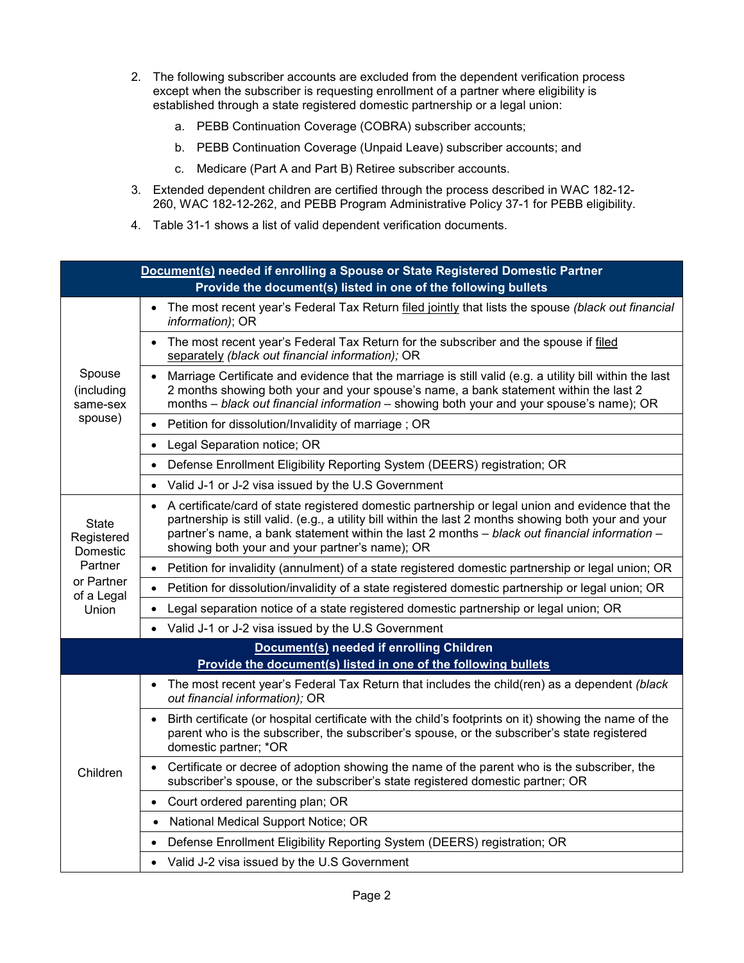- 2. The following subscriber accounts are excluded from the dependent verification process except when the subscriber is requesting enrollment of a partner where eligibility is established through a state registered domestic partnership or a legal union:
	- a. PEBB Continuation Coverage (COBRA) subscriber accounts;
	- b. PEBB Continuation Coverage (Unpaid Leave) subscriber accounts; and
	- c. Medicare (Part A and Part B) Retiree subscriber accounts.
- 3. Extended dependent children are certified through the process described in WAC 182-12- 260, WAC 182-12-262, and PEBB Program Administrative Policy 37-1 for PEBB eligibility.
- 4. Table 31-1 shows a list of valid dependent verification documents.

| Document(s) needed if enrolling a Spouse or State Registered Domestic Partner<br>Provide the document(s) listed in one of the following bullets |                                                                                                                                                                                                                                                                                                                                                                |  |  |
|-------------------------------------------------------------------------------------------------------------------------------------------------|----------------------------------------------------------------------------------------------------------------------------------------------------------------------------------------------------------------------------------------------------------------------------------------------------------------------------------------------------------------|--|--|
| Spouse<br>(including<br>same-sex<br>spouse)                                                                                                     | The most recent year's Federal Tax Return filed jointly that lists the spouse (black out financial<br>information); OR                                                                                                                                                                                                                                         |  |  |
|                                                                                                                                                 | The most recent year's Federal Tax Return for the subscriber and the spouse if filed<br>$\bullet$<br>separately (black out financial information); OR                                                                                                                                                                                                          |  |  |
|                                                                                                                                                 | Marriage Certificate and evidence that the marriage is still valid (e.g. a utility bill within the last<br>$\bullet$<br>2 months showing both your and your spouse's name, a bank statement within the last 2<br>months - black out financial information - showing both your and your spouse's name); OR                                                      |  |  |
|                                                                                                                                                 | Petition for dissolution/Invalidity of marriage; OR<br>$\bullet$                                                                                                                                                                                                                                                                                               |  |  |
|                                                                                                                                                 | Legal Separation notice; OR<br>$\bullet$                                                                                                                                                                                                                                                                                                                       |  |  |
|                                                                                                                                                 | Defense Enrollment Eligibility Reporting System (DEERS) registration; OR<br>$\bullet$                                                                                                                                                                                                                                                                          |  |  |
|                                                                                                                                                 | Valid J-1 or J-2 visa issued by the U.S Government                                                                                                                                                                                                                                                                                                             |  |  |
| <b>State</b><br>Registered<br>Domestic<br>Partner<br>or Partner<br>of a Legal<br>Union                                                          | • A certificate/card of state registered domestic partnership or legal union and evidence that the<br>partnership is still valid. (e.g., a utility bill within the last 2 months showing both your and your<br>partner's name, a bank statement within the last 2 months - black out financial information -<br>showing both your and your partner's name); OR |  |  |
|                                                                                                                                                 | Petition for invalidity (annulment) of a state registered domestic partnership or legal union; OR<br>$\bullet$                                                                                                                                                                                                                                                 |  |  |
|                                                                                                                                                 | Petition for dissolution/invalidity of a state registered domestic partnership or legal union; OR<br>$\bullet$                                                                                                                                                                                                                                                 |  |  |
|                                                                                                                                                 | Legal separation notice of a state registered domestic partnership or legal union; OR<br>$\bullet$                                                                                                                                                                                                                                                             |  |  |
|                                                                                                                                                 | Valid J-1 or J-2 visa issued by the U.S Government<br>$\bullet$                                                                                                                                                                                                                                                                                                |  |  |
| Document(s) needed if enrolling Children<br>Provide the document(s) listed in one of the following bullets                                      |                                                                                                                                                                                                                                                                                                                                                                |  |  |
| Children                                                                                                                                        | The most recent year's Federal Tax Return that includes the child(ren) as a dependent (black<br>$\bullet$<br>out financial information); OR                                                                                                                                                                                                                    |  |  |
|                                                                                                                                                 | Birth certificate (or hospital certificate with the child's footprints on it) showing the name of the<br>$\bullet$<br>parent who is the subscriber, the subscriber's spouse, or the subscriber's state registered<br>domestic partner; *OR                                                                                                                     |  |  |
|                                                                                                                                                 | Certificate or decree of adoption showing the name of the parent who is the subscriber, the<br>$\bullet$<br>subscriber's spouse, or the subscriber's state registered domestic partner; OR                                                                                                                                                                     |  |  |
|                                                                                                                                                 | Court ordered parenting plan; OR<br>$\bullet$                                                                                                                                                                                                                                                                                                                  |  |  |
|                                                                                                                                                 | National Medical Support Notice; OR<br>$\bullet$                                                                                                                                                                                                                                                                                                               |  |  |
|                                                                                                                                                 | Defense Enrollment Eligibility Reporting System (DEERS) registration; OR                                                                                                                                                                                                                                                                                       |  |  |
|                                                                                                                                                 | • Valid J-2 visa issued by the U.S Government                                                                                                                                                                                                                                                                                                                  |  |  |